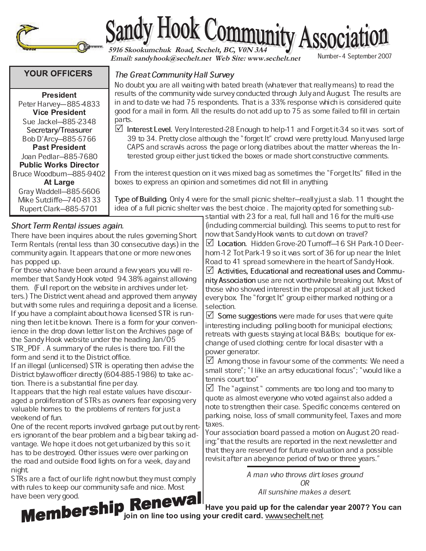

# Sandy Hook Community Associat

 **Email: sandyhook@sechelt.net Web Site: www.sechelt.net**

Number-4 September 2007

# **YOUR OFFICERS**

 - - Peter Harvey-885-4833 - - Sue Jackel-885-2348 Secretary/Treasurer Bob D'Arcy-885-5766 - - Joan Pedlar-885-7680 **Public Works Director** Bruce Woodburn–885-9402 Gray Waddell-885-5606 Mike Sutcliffe-740-8133 Rupert Clark-885-5701

# Short Term Rental issues again.

There have been inquires about the rules governing Short Term Rentals (rental less than 30 consecutive days) in the community again. It appears that one or more new ones has popped up.

For those who have been around a few years you will remember that Sandy Hook voted 94.38% against allowing them. (Full report on the website in archives under letters.) The District went ahead and approved them anyway but with some rules and requiring a deposit and a license. If you have a complaint about how a licensed STR is running then let it be known. There is a form for your convenience in the drop down letter list on the Archives page of the Sandy Hook website under the heading Jan/05 STR\_PDF . A summary of the rules is there too. Fill the form and send it to the District office.

If an illegal (unlicensed) STR is operating then advise the District bylaw officer directly (604-885-1986) to take action. There is a substantial fine per day.

It appears that the high real estate values have discouraged a proliferation of STRs as owners fear exposing very valuable homes to the problems of renters for just a weekend of fun.

One of the recent reports involved garbage put out by renters ignorant of the bear problem and a big bear taking advantage. We hope it does not get urbanized by this so it has to be destroyed. Other issues were over parking on the road and outside flood lights on for a week, day and night.

STRs are a fact of our life right now but they must comply with rules to keep our community safe and nice. Most<br>have been very good. have been very good.

The Great Community Hall Survey

No doubt you are all waiting with bated breath (whatever that really means) to read the results of the community wide survey conducted through July and August. The results are in and to date we had 75 respondents. That is a 33% response which is considered quite good for a mail in form. All the results do not add up to 75 as some failed to fill in certain parts.

 $\boxtimes$  Interest Level. Very Interested-28 Enough to help-11 and Forget it-34 so it was sort of 39 to 34. Pretty close although the ªforget Itº crowd were pretty loud. Many used large CAPS and scrawls across the page or long diatribes about the matter whereas the Interested group either just ticked the boxes or made short constructive comments.

From the interest question on it was mixed bag as sometimes the "Forget Its" filled in the boxes to express an opinion and sometimes did not fill in anything.

Type of Building. Only 4 were for the small picnic shelter—really just a slab. 11 thought the idea of a full picnic shelter was the best choice . The majority opted for something sub-

> stantial with 23 for a real, full hall and 16 for the multi-use (including commercial building). This seems to put to rest for now that Sandy Hook wants to cut down on travel?

 $\boxtimes$  Location. Hidden Grove-20 Turnoff-16 SH Park-10 Deerhorn-12 Tot Park-19 so it was sort of 36 for up near the Inlet Road to 41 spread somewhere in the heart of Sandy Hook.

 $\mathbb Z$  Activities, Educational and recreational uses and Community Association use are not worthwhile breaking out. Most of those who showed interest in the proposal at all just ticked every box. The "forget It" group either marked nothing or a selection.

 $\boxtimes$  Some suggestions were made for uses that were quite interesting including: polling booth for municipal elections; retreats with guests staying at local B&Bs; boutique for exchange of used clothing; centre for local disaster with a power generator.

 $\boxtimes$  Among those in favour some of the comments: We need a small store"; "I like an artsy educational focus"; "would like a tennis court too"

 $\boxtimes$  The "against" comments are too long and too many to quote as almost everyone who voted against also added a note to strengthen their case. Specific concerns centered on parking, noise, loss of small community feel, Taxes and more taxes.

Your association board passed a motion on August 20 reading;" that the results are reported in the next newsletter and that they are reserved for future evaluation and a possible revisit after an abeyance period of two or three years."

> A man who throws dirt loses ground OR All sunshine makes a desert.

e too using your credit card. <u>www.sechelt.net</u>

 - - - - -